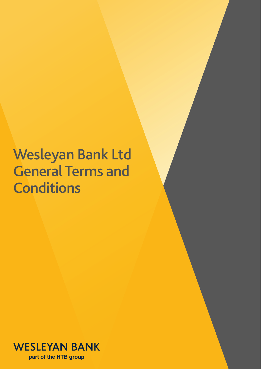# Wesleyan Bank Ltd General Terms and **Conditions**

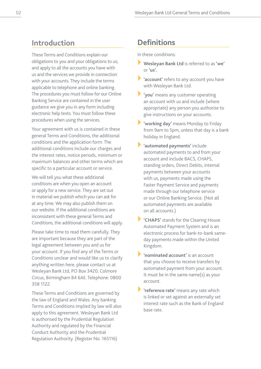### **Introduction**

These Terms and Conditions explain our obligations to you and your obligations to us; and apply to all the accounts you have with us and the services we provide in connection with your accounts. They include the terms applicable to telephone and online banking. The procedures you must follow for our Online Banking Service are contained in the user guidance we give you in any form including electronic help texts. You must follow these procedures when using the services.

Your agreement with us is contained in these general Terms and Conditions, the additional conditions and the application form. The additional conditions include our charges and the interest rates, notice periods, minimum or maximum balances and other terms which are specific to a particular account or service.

We will tell you what these additional conditions are when you open an account or apply for a new service. They are set out in material we publish which you can ask for at any time. We may also publish them on our website. If the additional conditions are inconsistent with these general Terms and Conditions, the additional conditions will apply.

Please take time to read them carefully. They are important because they are part of the legal agreement between you and us for your account. If you find any of the Terms or Conditions unclear and would like us to clarify anything written here, please contact us at Wesleyan Bank Ltd, PO Box 3420, Colmore Circus, Birmingham B4 6AE. Telephone: 0800 358 1122.

These Terms and Conditions are governed by the law of England and Wales. Any banking Terms and Conditions implied by law will also apply to this agreement. Wesleyan Bank Ltd is authorised by the Prudential Regulation Authority and regulated by the Financial Conduct Authority and the Prudential Regulation Authority. (Register No. 165116)

# **Definitions**

In these conditions:

- } **Wesleyan Bank Ltd** is referred to as **'we'**  or **'us'.**
- 'account' refers to any account you have with Wesleyan Bank Ltd.
- } **'you'** means any customer operating an account with us and include (where appropriate) any person you authorise to give instructions on your accounts.
- } **'working day'** means Monday to Friday from 9am to 5pm, unless that day is a bank holiday in England.
- } **'automated payments'** include automated payments to and from your account and include BACS, CHAPS, standing orders, Direct Debits, internal payments between your accounts with us, payments made using the Faster Payment Service and payments made through our telephone service or our Online Banking Service. (Not all automated payments are available on all accounts.)
- } **'CHAPS'** stands for the Clearing House Automated Payment System and is an electronic process for bank-to-bank sameday payments made within the United Kingdom.
- } **'nominated account'** is an account that you choose to receive transfers by automated payment from your account. It must be in the same name(s) as your account.

'reference rate' means any rate which is linked or set against an externally set interest rate such as the Bank of England base rate.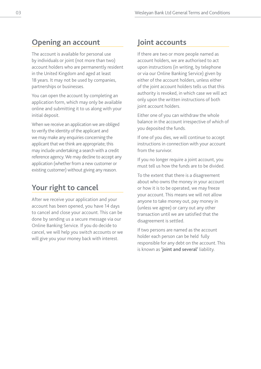### **Opening an account**

The account is available for personal use by individuals or joint (not more than two) account holders who are permanently resident in the United Kingdom and aged at least 18 years. It may not be used by companies, partnerships or businesses.

You can open the account by completing an application form, which may only be available online and submitting it to us along with your initial deposit.

When we receive an application we are obliged to verify the identity of the applicant and we may make any enquiries concerning the applicant that we think are appropriate; this may include undertaking a search with a credit reference agency. We may decline to accept any application (whether from a new customer or existing customer) without giving any reason.

# **Your right to cancel**

After we receive your application and your account has been opened, you have 14 days to cancel and close your account. This can be done by sending us a secure message via our Online Banking Service. If you do decide to cancel, we will help you switch accounts or we will give you your money back with interest.

### **Joint accounts**

If there are two or more people named as account holders, we are authorised to act upon instructions (in writing, by telephone or via our Online Banking Service) given by either of the account holders, unless either of the joint account holders tells us that this authority is revoked, in which case we will act only upon the written instructions of both joint account holders.

Either one of you can withdraw the whole balance in the account irrespective of which of you deposited the funds.

If one of you dies, we will continue to accept instructions in connection with your account from the survivor.

If you no longer require a joint account, you must tell us how the funds are to be divided.

To the extent that there is a disagreement about who owns the money in your account or how it is to be operated, we may freeze your account. This means we will not allow anyone to take money out, pay money in (unless we agree) or carry out any other transaction until we are satisfied that the disagreement is settled.

If two persons are named as the account holder each person can be held fully responsible for any debt on the account. This is known as **'joint and several'** liability.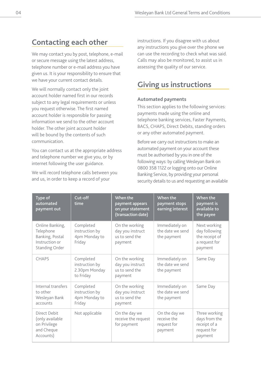### **Contacting each other**

We may contact you by post, telephone, e-mail or secure message using the latest address, telephone number or e-mail address you have given us. It is your responsibility to ensure that we have your current contact details.

We will normally contact only the joint account holder named first in our records subject to any legal requirements or unless you request otherwise. The first named account holder is responsible for passing information we send to the other account holder. The other joint account holder will be bound by the contents of such communication.

You can contact us at the appropriate address and telephone number we give you, or by internet following the user guidance.

We will record telephone calls between you and us, in order to keep a record of your

instructions. If you disagree with us about any instructions you give over the phone we can use the recording to check what was said. Calls may also be monitored, to assist us in assessing the quality of our service.

# **Giving us instructions**

#### **Automated payments**

This section applies to the following services: payments made using the online and telephone banking services, Faster Payments, BACS, CHAPS, Direct Debits, standing orders or any other automated payment.

Before we carry out instructions to make an automated payment on your account these must be authorised by you in one of the following ways: by calling Wesleyan Bank on 0800 358 1122 or logging onto our Online Banking Service, by providing your personal security details to us and requesting an available

| Type of<br>automated<br>payment out                                                        | Cut-off<br>time                                           | When the<br>payment appears<br>on your statement<br>(transaction date) | When the<br>payment stops<br>earning interest          | When the<br>payment is<br>available to<br>the payee                         |
|--------------------------------------------------------------------------------------------|-----------------------------------------------------------|------------------------------------------------------------------------|--------------------------------------------------------|-----------------------------------------------------------------------------|
| Online Banking,<br>Telephone<br>Banking, Postal<br>Instruction or<br><b>Standing Order</b> | Completed<br>instruction by<br>4pm Monday to<br>Friday    | On the working<br>day you instruct<br>us to send the<br>payment        | Immediately on<br>the date we send<br>the payment      | Next working<br>day following<br>the receipt of<br>a request for<br>payment |
| CHAPS                                                                                      | Completed<br>instruction by<br>2.30pm Monday<br>to Friday | On the working<br>day you instruct<br>us to send the<br>payment        | Immediately on<br>the date we send<br>the payment      | Same Day                                                                    |
| Internal transfers<br>to other<br>Wesleyan Bank<br>accounts                                | Completed<br>instruction by<br>4pm Monday to<br>Friday    | On the working<br>day you instruct<br>us to send the<br>payment        | Immediately on<br>the date we send<br>the payment      | Same Day                                                                    |
| Direct Debit<br>(only available<br>on Privilege<br>and Cheque<br>Accounts)                 | Not applicable                                            | On the day we<br>receive the request<br>for payment                    | On the day we<br>receive the<br>request for<br>payment | Three working<br>days from the<br>receipt of a<br>request for<br>payment    |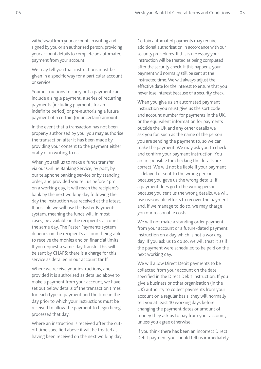withdrawal from your account; in writing and signed by you or an authorised person; providing your account details to complete an automated payment from your account.

We may tell you that instructions must be given in a specific way for a particular account or service.

Your instructions to carry out a payment can include a single payment, a series of recurring payments (including payments for an indefinite period) or pre-authorising a future payment of a certain (or uncertain) amount.

In the event that a transaction has not been properly authorised by you, you may authorise the transaction after it has been made by providing your consent to the payment either orally or in writing to us.

When you tell us to make a funds transfer via our Online Banking Service, by post, by our telephone banking service or by standing order, and provided you tell us before 4pm on a working day, it will reach the recipient's bank by the next working day following the day the instruction was received at the latest. If possible we will use the Faster Payments system, meaning the funds will, in most cases, be available in the recipient's account the same day. The Faster Payments system depends on the recipient's account being able to receive the monies and on financial limits. If you request a same-day transfer this will be sent by CHAPS; there is a charge for this service as detailed in our account tariff.

Where we receive your instructions, and provided it is authorised as detailed above to make a payment from your account, we have set out below details of the transaction times for each type of payment and the time in the day prior to which your instructions must be received to allow the payment to begin being processed that day.

Where an instruction is received after the cutoff time specified above it will be treated as having been received on the next working day. Certain automated payments may require additional authorisation in accordance with our security procedures. If this is necessary your instruction will be treated as being completed after the security check. If this happens, your payment will normally still be sent at the instructed time. We will always adjust the effective date for the interest to ensure that you never lose interest because of a security check.

When you give us an automated payment instruction you must give us the sort code and account number for payments in the UK, or the equivalent information for payments outside the UK and any other details we ask you for, such as the name of the person you are sending the payment to, so we can make the payment. We may ask you to check and confirm your payment instruction. You are responsible for checking the details are correct. We will not be liable if your payment is delayed or sent to the wrong person because you gave us the wrong details. If a payment does go to the wrong person because you sent us the wrong details, we will use reasonable efforts to recover the payment and, if we manage to do so, we may charge you our reasonable costs.

We will not make a standing order payment from your account or a future-dated payment instruction on a day which is not a working day. If you ask us to do so, we will treat it as if the payment were scheduled to be paid on the next working day.

We will allow Direct Debit payments to be collected from your account on the date specified in the Direct Debit instruction. If you give a business or other organisation (in the UK) authority to collect payments from your account on a regular basis, they will normally tell you at least 10 working days before changing the payment dates or amount of money they ask us to pay from your account, unless you agree otherwise.

If you think there has been an incorrect Direct Debit payment you should tell us immediately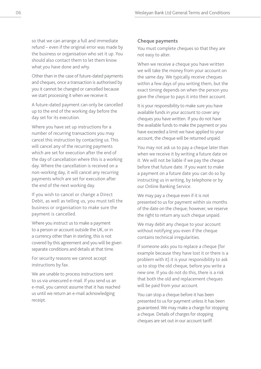so that we can arrange a full and immediate refund – even if the original error was made by the business or organisation who set it up. You should also contact them to let them know what you have done and why.

Other than in the case of future-dated payments and cheques, once a transaction is authorised by you it cannot be changed or cancelled because we start processing it when we receive it.

A future-dated payment can only be cancelled up to the end of the working day before the day set for its execution.

Where you have set up instructions for a number of recurring transactions you may cancel this instruction by contacting us. This will cancel any of the recurring payments which are set for execution after the end of the day of cancellation where this is a working day. Where the cancellation is received on a non-working day, it will cancel any recurring payments which are set for execution after the end of the next working day.

If you wish to cancel or change a Direct Debit, as well as telling us, you must tell the business or organisation to make sure the payment is cancelled.

Where you instruct us to make a payment to a person or account outside the UK, or in a currency other than in sterling, this is not covered by this agreement and you will be given separate conditions and details at that time.

For security reasons we cannot accept instructions by fax.

We are unable to process instructions sent to us via unsecured e-mail. If you send us an e-mail, you cannot assume that it has reached us until we return an e-mail acknowledging receipt.

#### **Cheque payments**

You must complete cheques so that they are not easy to alter.

When we receive a cheque you have written we will take the money from your account on the same day. We typically receive cheques within a few days of you writing them, but the exact timing depends on when the person you gave the cheque to pays it into their account.

It is your responsibility to make sure you have available funds in your account to cover any cheques you have written. If you do not have the available funds to make the payment or you have exceeded a limit we have applied to your account, the cheque will be returned unpaid.

You may not ask us to pay a cheque later than when we receive it by writing a future date on it. We will not be liable if we pay the cheque before that future date. If you want to make a payment on a future date you can do so by instructing us in writing, by telephone or by our Online Banking Service.

We may pay a cheque even if it is not presented to us for payment within six months of the date on the cheque; however, we reserve the right to return any such cheque unpaid.

We may debit any cheque to your account without notifying you even if the cheque contains technical irregularities.

If someone asks you to replace a cheque (for example because they have lost it or there is a problem with it) it is your responsibility to ask us to stop the old cheque, before you write a new one. If you do not do this, there is a risk that both the old and replacement cheques will be paid from your account.

You can stop a cheque before it has been presented to us for payment unless it has been guaranteed. We may make a charge for stopping a cheque. Details of charges for stopping cheques are set out in our account tariff.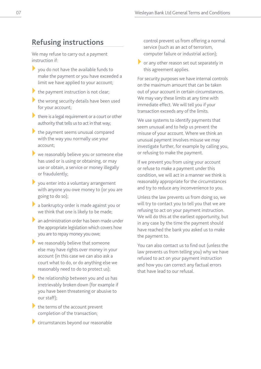#### **Refusing instructions**

We may refuse to carry out a payment instruction if:

- you do not have the available funds to make the payment or you have exceeded a limit we have applied to your account;
- $\blacktriangleright$  the payment instruction is not clear;
- $\blacktriangleright$  the wrong security details have been used for your account;
- $\blacktriangleright$  there is a legal requirement or a court or other authority that tells us to act in that way;
- $\blacktriangleright$  the payment seems unusual compared with the way you normally use your account;
- $\blacktriangleright$  we reasonably believe you or someone else has used or is using or obtaining, or may use or obtain, a service or money illegally or fraudulently;
- you enter into a voluntary arrangement with anyone you owe money to (or you are going to do so);
- a bankruptcy order is made against you or we think that one is likely to be made;
- $\blacktriangleright$  an administration order has been made under the appropriate legislation which covers how you are to repay money you owe;
- $\blacktriangleright$  we reasonably believe that someone else may have rights over money in your account (in this case we can also ask a court what to do, or do anything else we reasonably need to do to protect us);
- $\blacktriangleright$  the relationship between you and us has irretrievably broken down (for example if you have been threatening or abusive to our staff);
- $\blacktriangleright$  the terms of the account prevent completion of the transaction;
- $\blacktriangleright$  circumstances beyond our reasonable

control prevent us from offering a normal service (such as an act of terrorism, computer failure or industrial action);

 $\triangleright$  or any other reason set out separately in this agreement applies.

For security purposes we have internal controls on the maximum amount that can be taken out of your account in certain circumstances. We may vary these limits at any time with immediate effect. We will tell you if your transaction exceeds any of the limits.

We use systems to identify payments that seem unusual and to help us prevent the misuse of your account. Where we think an unusual payment involves misuse we may investigate further, for example by calling you, or refusing to make the payment.

If we prevent you from using your account or refuse to make a payment under this condition, we will act in a manner we think is reasonably appropriate for the circumstances and try to reduce any inconvenience to you.

Unless the law prevents us from doing so, we will try to contact you to tell you that we are refusing to act on your payment instruction. We will do this at the earliest opportunity, but in any case by the time the payment should have reached the bank you asked us to make the payment to.

You can also contact us to find out (unless the law prevents us from telling you) why we have refused to act on your payment instruction and how you can correct any factual errors that have lead to our refusal.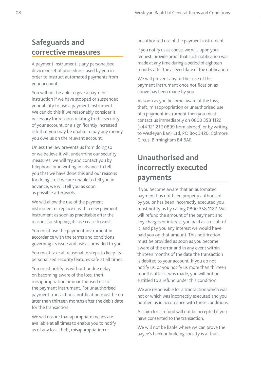# **Safeguards and corrective measures**

A payment instrument is any personalised device or set of procedures used by you in order to instruct automated payments from your account.

You will not be able to give a payment instruction if we have stopped or suspended your ability to use a payment instrument. We can do this if we reasonably consider it necessary for reasons relating to the security of your account, or a significantly increased risk that you may be unable to pay any money you owe us on the relevant account.

Unless the law prevents us from doing so or we believe it will undermine our security measures, we will try and contact you by telephone or in writing in advance to tell you that we have done this and our reasons for doing so. If we are unable to tell you in advance, we will tell you as soon as possible afterwards.

We will allow the use of the payment instrument or replace it with a new payment instrument as soon as practicable after the reasons for stopping its use cease to exist.

You must use the payment instrument in accordance with the terms and conditions governing its issue and use as provided to you.

You must take all reasonable steps to keep its personalised security features safe at all times.

You must notify us without undue delay on becoming aware of the loss, theft, misappropriation or unauthorised use of the payment instrument. For unauthorised payment transactions, notification must be no later than thirteen months after the debit date for the transaction.

We will ensure that appropriate means are available at all times to enable you to notify us of any loss, theft, misappropriation or

unauthorised use of the payment instrument.

If you notify us as above, we will, upon your request, provide proof that such notification was made at any time during a period of eighteen months after the alleged date of the notification.

We will prevent any further use of the payment instrument once notification as above has been made by you.

As soon as you become aware of the loss, theft, misappropriation or unauthorised use of a payment instrument then you must contact us immediately on 0800 358 1122 (+44 121 212 0899 from abroad) or by writing to Wesleyan Bank Ltd, PO Box 3420, Colmore Circus, Birmingham B4 6AE.

# **Unauthorised and incorrectly executed payments**

If you become aware that an automated payment has not been properly authorised by you or has been incorrectly executed you must notify us by calling 0800 358 1122. We will refund the amount of the payment and any charges or interest you paid as a result of it, and pay you any interest we would have paid you on that amount. This notification must be provided as soon as you become aware of the error and in any event within thirteen months of the date the transaction is debited to your account. If you do not notify us, or you notify us more than thirteen months after it was made, you will not be entitled to a refund under this condition.

We are responsible for a transaction which was not or which was incorrectly executed and you notified us in accordance with these conditions.

A claim for a refund will not be accepted if you have consented to the transaction.

We will not be liable where we can prove the payee's bank or building society is at fault.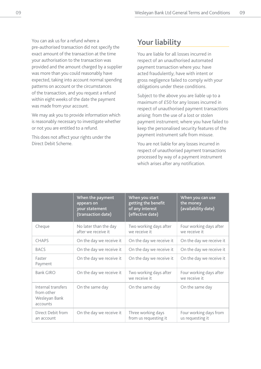You can ask us for a refund where a pre-authorised transaction did not specify the exact amount of the transaction at the time your authorisation to the transaction was provided and the amount charged by a supplier was more than you could reasonably have expected, taking into account normal spending patterns on account or the circumstances of the transaction, and you request a refund within eight weeks of the date the payment was made from your account.

We may ask you to provide information which is reasonably necessary to investigate whether or not you are entitled to a refund.

This does not affect your rights under the Direct Debit Scheme.

### **Your liability**

You are liable for all losses incurred in respect of an unauthorised automated payment transaction where you: have acted fraudulently; have with intent or gross negligence failed to comply with your obligations under these conditions.

Subject to the above you are liable up to a maximum of £50 for any losses incurred in respect of unauthorised payment transactions arising: from the use of a lost or stolen payment instrument; where you have failed to keep the personalised security features of the payment instrument safe from misuse.

You are not liable for any losses incurred in respect of unauthorised payment transactions processed by way of a payment instrument which arises after any notification.

|                                                               | When the payment<br>appears on<br>your statement<br>(transaction date) | When you start<br>getting the benefit<br>of any interest<br>(effective date) | When you can use<br>the money<br>(availability date) |
|---------------------------------------------------------------|------------------------------------------------------------------------|------------------------------------------------------------------------------|------------------------------------------------------|
| Cheque                                                        | No later than the day<br>after we receive it.                          | Two working days after<br>we receive it                                      | Four working days after<br>we receive it             |
| <b>CHAPS</b>                                                  | On the day we receive it                                               | On the day we receive it                                                     | On the day we receive it                             |
| <b>BACS</b>                                                   | On the day we receive it                                               | On the day we receive it                                                     | On the day we receive it                             |
| Faster<br>Payment                                             | On the day we receive it                                               | On the day we receive it                                                     | On the day we receive it                             |
| Bank GIRO                                                     | On the day we receive it                                               | Two working days after<br>we receive it                                      | Four working days after<br>we receive it             |
| Internal transfers<br>from other<br>Wesleyan Bank<br>accounts | On the same day                                                        | On the same day                                                              | On the same day                                      |
| Direct Debit from<br>an account                               | On the day we receive it                                               | Three working days<br>from us requesting it                                  | Four working days from<br>us requesting it           |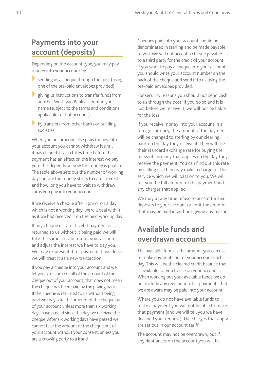# **Payments into your account (deposits)**

Depending on the account type, you may pay money into your account by:

- $\blacktriangleright$  sending us a cheque through the post (using one of the pre-paid envelopes provided);
- $\blacktriangleright$  giving us instructions to transfer funds from another Wesleyan Bank account in your name (subject to the terms and conditions applicable to that account);
- $\blacktriangleright$  by transfers from other banks or building societies;

When you or someone else pays money into your account you cannot withdraw it until it has cleared. It also takes time before the payment has an effect on the interest we pay you. This depends on how the money is paid in. The table above sets out the number of working days before the money starts to earn interest and how long you have to wait to withdraw sums you pay into your account.

If we receive a cheque after 3pm or on a day which is not a working day, we will deal with it as if we had received it on the next working day.

If any cheque or Direct Debit payment is returned to us without it being paid we will take the same amount out of your account and adjust the interest we have to pay you. We may re-present it for payment. If we do so we will treat it as a new transaction.

If you pay a cheque into your account and we let you take some or all of the amount of the cheque out of your account, that does not mean the cheque has been paid by the paying bank. If the cheque is returned to us without being paid we may take the amount of the cheque out of your account unless more than six working days have passed since the day we received the cheque. After six working days have passed we cannot take the amount of the cheque out of your account without your consent, unless you are a knowing party to a fraud.

Cheques paid into your account should be denominated in sterling and be made payable to you. We will not accept a cheque payable to a third party for the credit of your account. If you want to pay a cheque into your account you should write your account number on the back of the cheque and send it to us using the pre-paid envelopes provided.

For security reasons you should not send cash to us through the post. If you do so and it is lost before we receive it, we will not be liable for the loss.

If you receive money into your account in a foreign currency, the amount of the payment will be changed to sterling by our clearing bank on the day they receive it. They will use their standard exchange rate for buying the relevant currency that applies on the day they receive the payment. You can find out this rate by calling us. They may make a charge for this service which we will pass on to you. We will tell you the full amount of the payment and any charges that applied.

We may at any time refuse to accept further deposits to your account or limit the amount that may be paid in without giving any reason.

### **Available funds and overdrawn accounts**

The available funds is the amount you can use to make payments out of your account each day. This will be the cleared credit balance that is available for you to use on your account. When working out your available funds we do not include any regular or other payments that we are aware may be paid into your account.

Where you do not have available funds to make a payment you will not be able to make that payment (and we will tell you we have declined your request). The charges that apply are set out in our account tariff.

The account may not be overdrawn, but if any debt arises on the account you will be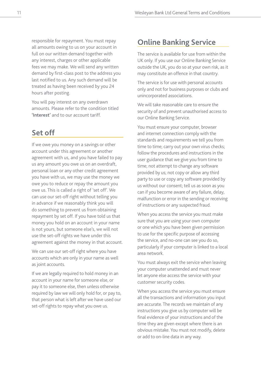responsible for repayment. You must repay all amounts owing to us on your account in full on our written demand together with any interest, charges or other applicable fees we may make. We will send any written demand by first-class post to the address you last notified to us. Any such demand will be treated as having been received by you 24 hours after posting.

You will pay interest on any overdrawn amounts. Please refer to the condition titled **'Interest'** and to our account tariff.

# **Set off**

If we owe you money on a savings or other account under this agreement or another agreement with us, and you have failed to pay us any amount you owe us on an overdraft, personal loan or any other credit agreement you have with us, we may use the money we owe you to reduce or repay the amount you owe us. This is called a right of 'set off'. We can use our set-off right without telling you in advance if we reasonably think you will do something to prevent us from obtaining repayment by set off. If you have told us that money you hold on an account in your name is not yours, but someone else's, we will not use the set-off rights we have under this agreement against the money in that account.

We can use our set-off right where you have accounts which are only in your name as well as joint accounts.

If we are legally required to hold money in an account in your name for someone else, or pay it to someone else, then unless otherwise required by law we will only hold for, or pay to, that person what is left after we have used our set-off rights to repay what you owe us.

### **Online Banking Service**

The service is available for use from within the UK only. If you use our Online Banking Service outside the UK, you do so at your own risk, as it may constitute an offence in that country.

The service is for use with personal accounts only and not for business purposes or clubs and unincorporated associations.

We will take reasonable care to ensure the security of and prevent unauthorised access to our Online Banking Service.

You must ensure your computer, browser and internet connection comply with the standards and requirements we tell you from time to time; carry out your own virus checks; follow the procedures and instructions in the user guidance that we give you from time to time; not attempt to change any software provided by us; not copy or allow any third party to use or copy any software provided by us without our consent; tell us as soon as you can if you become aware of any failure, delay, malfunction or error in the sending or receiving of instructions or any suspected fraud.

When you access the service you must make sure that you are using your own computer or one which you have been given permission to use for the specific purpose of accessing the service, and no-one can see you do so, particularly if your computer is linked to a local area network.

You must always exit the service when leaving your computer unattended and must never let anyone else access the service with your customer security codes.

When you access the service you must ensure all the transactions and information you input are accurate. The records we maintain of any instructions you give us by computer will be final evidence of your instructions and of the time they are given except where there is an obvious mistake. You must not modify, delete or add to on-line data in any way.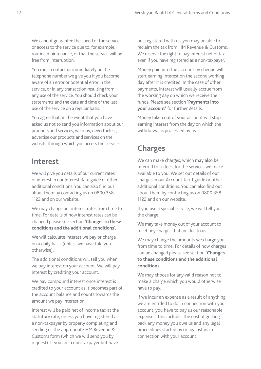We cannot guarantee the speed of the service or access to the service due to, for example, routine maintenance, or that the service will be free from interruption.

You must contact us immediately on the telephone number we give you if you become aware of an error or potential error in the service, or in any transaction resulting from any use of the service. You should check your statements and the date and time of the last use of the service on a regular basis.

You agree that, in the event that you have asked us not to send you information about our products and services, we may, nevertheless, advertise our products and services on the website through which you access the service.

#### **Interest**

We will give you details of our current rates of interest in our Interest Rate guide or other additional conditions. You can also find out about them by contacting us on 0800 358 1122 and on our website.

We may change our interest rates from time to time. For details of how interest rates can be changed please see section **'Changes to these conditions and the additional conditions'.**

We will calculate interest we pay or charge on a daily basis (unless we have told you otherwise).

The additional conditions will tell you when we pay interest on your account. We will pay interest by crediting your account.

We pay compound interest once interest is credited to your account as it becomes part of the account balance and counts towards the amount we pay interest on.

Interest will be paid net of income tax at the statutory rate, unless you have registered as a non-taxpayer by properly completing and sending us the appropriate HM Revenue & Customs form (which we will send you by request). If you are a non-taxpayer but have

not registered with us, you may be able to reclaim the tax from HM Revenue & Customs. We reserve the right to pay interest net of tax even if you have registered as a non-taxpayer.

Money paid into the account by cheque will start earning interest on the second working day after it is credited. In the case of other payments, interest will usually accrue from the working day on which we receive the funds. Please see section **'Payments into your account'** for further details.

Money taken out of your account will stop earning interest from the day on which the withdrawal is processed by us.

### **Charges**

We can make charges, which may also be referred to as fees, for the services we make available to you. We set out details of our charges in our Account Tariff guide or other additional conditions. You can also find out about them by contacting us on 0800 358 1122 and on our website.

If you use a special service, we will tell you the charge.

We may take money out of your account to meet any charges that are due to us.

We may change the amounts we charge you from time to time. For details of how charges can be changed please see section **'Changes to these conditions and the additional conditions'.**

We may choose for any valid reason not to make a charge which you would otherwise have to pay.

If we incur an expense as a result of anything we are entitled to do in connection with your account, you have to pay us our reasonable expenses. This includes the cost of getting back any money you owe us and any legal proceedings started by or against us in connection with your account.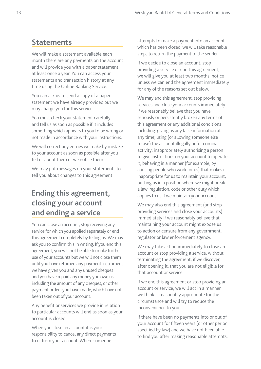### **Statements**

We will make a statement available each month there are any payments on the account and will provide you with a paper statement at least once a year. You can access your statements and transaction history at any time using the Online Banking Service.

You can ask us to send a copy of a paper statement we have already provided but we may charge you for this service.

You must check your statement carefully and tell us as soon as possible if it includes something which appears to you to be wrong or not made in accordance with your instructions.

We will correct any entries we make by mistake to your account as soon as possible after you tell us about them or we notice them.

We may put messages on your statements to tell you about changes to this agreement.

# **Ending this agreement, closing your account and ending a service**

You can close an account, stop receiving any service for which you applied separately or end this agreement completely by telling us. We may ask you to confirm this in writing. If you end this agreement, you will not be able to make further use of your accounts but we will not close them until you have returned any payment instrument we have given you and any unused cheques and you have repaid any money you owe us, including the amount of any cheques, or other payment orders you have made, which have not been taken out of your account.

Any benefit or services we provide in relation to particular accounts will end as soon as your account is closed.

When you close an account it is your responsibility to cancel any direct payments to or from your account. Where someone

attempts to make a payment into an account which has been closed, we will take reasonable steps to return the payment to the sender.

If we decide to close an account, stop providing a service or end this agreement, we will give you at least two months' notice unless we can end the agreement immediately for any of the reasons set out below.

We may end this agreement, stop providing services and close your accounts immediately if we reasonably believe that you have seriously or persistently broken any terms of this agreement or any additional conditions including: giving us any false information at any time; using (or allowing someone else to use) the account illegally or for criminal activity; inappropriately authorising a person to give instructions on your account to operate it; behaving in a manner (for example, by abusing people who work for us) that makes it inappropriate for us to maintain your account; putting us in a position where we might break a law, regulation, code or other duty which applies to us if we maintain your account.

We may also end this agreement (and stop providing services and close your accounts) immediately if we reasonably believe that maintaining your account might expose us to action or censure from any government, regulator or law enforcement agency.

We may take action immediately to close an account or stop providing a service, without terminating the agreement, if we discover, after opening it, that you are not eligible for that account or service.

If we end this agreement or stop providing an account or service, we will act in a manner we think is reasonably appropriate for the circumstance and will try to reduce the inconvenience to you.

If there have been no payments into or out of your account for fifteen years (or other period specified by law) and we have not been able to find you after making reasonable attempts,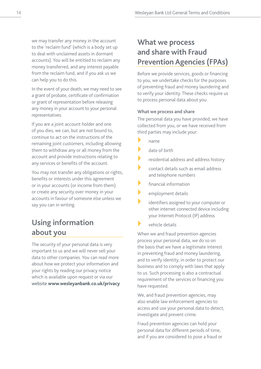we may transfer any money in the account to the 'reclaim fund' (which is a body set up to deal with unclaimed assets in dormant accounts). You will be entitled to reclaim any money transferred, and any interest payable from the reclaim fund, and if you ask us we can help you to do this.

In the event of your death, we may need to see a grant of probate, certificate of confirmation or grant of representation before releasing any money in your account to your personal representatives.

If you are a joint account holder and one of you dies, we can, but are not bound to, continue to act on the instructions of the remaining joint customers, including allowing them to withdraw any or all money from the account and provide instructions relating to any services or benefits of the account.

You may not transfer any obligations or rights, benefits or interests under this agreement or in your accounts (or income from them) or create any security over money in your accounts in favour of someone else unless we say you can in writing.

### **Using information about you**

The security of your personal data is very important to us and we will never sell your data to other companies. You can read more about how we protect your information and your rights by reading our privacy notice which is available upon request or via our website **www.wesleyanbank.co.uk/privacy**

# **What we process and share with Fraud Prevention Agencies (FPAs)**

Before we provide services, goods or financing to you, we undertake checks for the purposes of preventing fraud and money laundering and to verify your identity. These checks require us to process personal data about you.

#### **What we process and share**

The personal data you have provided, we have collected from you, or we have received from third parties may include your:

- name
- date of birth
- residential address and address history
- } contact details such as email address and telephone numbers
- financial information
- employment details
- identifiers assigned to your computer or other internet connected device including your Internet Protocol (IP) address
- } vehicle details

When we and fraud prevention agencies process your personal data, we do so on the basis that we have a legitimate interest in preventing fraud and money laundering, and to verify identity, in order to protect our business and to comply with laws that apply to us. Such processing is also a contractual requirement of the services or financing you have requested.

We, and fraud prevention agencies, may also enable law enforcement agencies to access and use your personal data to detect, investigate and prevent crime.

Fraud prevention agencies can hold your personal data for different periods of time, and if you are considered to pose a fraud or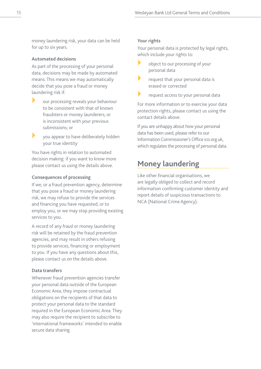money laundering risk, your data can be held for up to six years.

#### **Automated decisions**

As part of the processing of your personal data, decisions may be made by automated means. This means we may automatically decide that you pose a fraud or money laundering risk if:

- **If** our processing reveals your behaviour to be consistent with that of known fraudsters or money launderers; or is inconsistent with your previous submissions; or
- **X** you appear to have deliberately hidden your true identity

You have rights in relation to automated decision making: if you want to know more please contact us using the details above.

#### **Consequences of processing**

If we, or a fraud prevention agency, determine that you pose a fraud or money laundering risk, we may refuse to provide the services and financing you have requested, or to employ you, or we may stop providing existing services to you.

A record of any fraud or money laundering risk will be retained by the fraud prevention agencies, and may result in others refusing to provide services, financing or employment to you. If you have any questions about this, please contact us on the details above.

#### **Data transfers**

Whenever fraud prevention agencies transfer your personal data outside of the European Economic Area, they impose contractual obligations on the recipients of that data to protect your personal data to the standard required in the European Economic Area. They may also require the recipient to subscribe to 'international frameworks' intended to enable secure data sharing.

#### **Your rights**

Your personal data is protected by legal rights, which include your rights to:

- object to our processing of your personal data
- request that your personal data is erased or corrected
- request access to your personal data

For more information or to exercise your data protection rights, please contact us using the contact details above.

If you are unhappy about how your personal data has been used, please refer to our Information Commissioner's Office ico.org.uk, which regulates the processing of personal data.

### **Money laundering**

Like other financial organisations, we are legally obliged to collect and record information confirming customer identity and report details of suspicious transactions to NCA (National Crime Agency).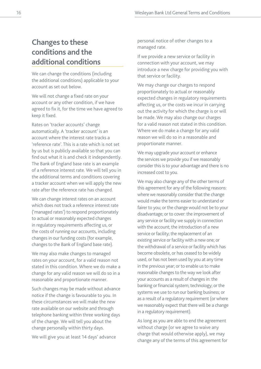## **Changes to these conditions and the additional conditions**

We can change the conditions (including the additional conditions) applicable to your account as set out below.

We will not change a fixed rate on your account or any other condition, if we have agreed to fix it, for the time we have agreed to keep it fixed.

Rates on 'tracker accounts' change automatically. A 'tracker account' is an account where the interest rate tracks a 'reference rate'. This is a rate which is not set by us but is publicly available so that you can find out what it is and check it independently. The Bank of England base rate is an example of a reference interest rate. We will tell you in the additional terms and conditions covering a tracker account when we will apply the new rate after the reference rate has changed.

We can change interest rates on an account which does not track a reference interest rate ('managed rates') to respond proportionately to actual or reasonably expected changes in regulatory requirements affecting us, or the costs of running our accounts, including changes in our funding costs (for example, changes to the Bank of England base rate).

We may also make changes to managed rates on your account, for a valid reason not stated in this condition. Where we do make a change for any valid reason we will do so in a reasonable and proportionate manner.

Such changes may be made without advance notice if the change is favourable to you. In these circumstances we will make the new rate available on our website and through telephone banking within three working days of the change. We will tell you about the change personally within thirty days.

We will give you at least 14 days' advance

personal notice of other changes to a managed rate.

If we provide a new service or facility in connection with your account, we may introduce a new charge for providing you with that service or facility.

We may change our charges to respond proportionately to actual or reasonably expected changes in regulatory requirements affecting us, or the costs we incur in carrying out the activity for which the charge is or will be made. We may also change our charges for a valid reason not stated in this condition. Where we do make a change for any valid reason we will do so in a reasonable and proportionate manner.

We may upgrade your account or enhance the services we provide you if we reasonably consider this is to your advantage and there is no increased cost to you.

We may also change any of the other terms of this agreement for any of the following reasons: where we reasonably consider that the change would make the terms easier to understand or fairer to you; or the change would not be to your disadvantage; or to cover: the improvement of any service or facility we supply in connection with the account; the introduction of a new service or facility; the replacement of an existing service or facility with a new one; or the withdrawal of a service or facility which has become obsolete, or has ceased to be widely used, or has not been used by you at any time in the previous year; or to enable us to make reasonable changes to the way we look after your accounts as a result of changes in: the banking or financial system; technology; or the systems we use to run our banking business; or as a result of a regulatory requirement (or where we reasonably expect that there will be a change in a regulatory requirement).

As long as you are able to end the agreement without charge (or we agree to waive any charge that would otherwise apply), we may change any of the terms of this agreement for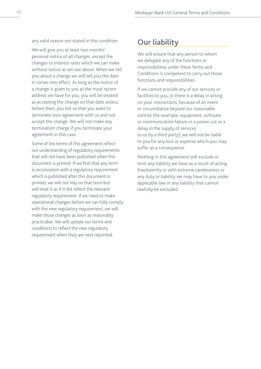any valid reason not stated in this condition.

We will give you at least two months' personal notice of all changes, except the changes to interest rates which we can make without notice as set out above. When we tell you about a change we will tell you the date it comes into effect. As long as the notice of a change is given to you at the most recent address we have for you, you will be treated as accepting the change on that date unless, before then, you tell us that you want to terminate your agreement with us and not accept the change. We will not make any termination charge if you terminate your agreement in this case.

Some of the terms of this agreement reflect our understanding of regulatory requirements that will not have been published when this document is printed. If we find that any term is inconsistent with a regulatory requirement which is published after this document is printed, we will not rely on that term but will treat it as if it did reflect the relevant regulatory requirement. If we need to make operational changes before we can fully comply with the new regulatory requirement, we will make those changes as soon as reasonably practicable. We will update our terms and conditions to reflect the new regulatory requirement when they are next reprinted.

### **Our liability**

We will ensure that any person to whom we delegate any of the functions or responsibilities under these Terms and Conditions is competent to carry out those functions and responsibilities.

If we cannot provide any of our services or facilities to you, or there is a delay in acting on your instructions, because of an event or circumstance beyond our reasonable control (for example, equipment, software or communication failure or a power cut or a delay in the supply of services to us by a third party), we will not be liable to you for any loss or expense which you may suffer as a consequence.

Nothing in this agreement will exclude or limit any liability we have as a result of acting fraudulently or with extreme carelessness or any duty or liability we may have to you under applicable law or any liability that cannot lawfully be excluded.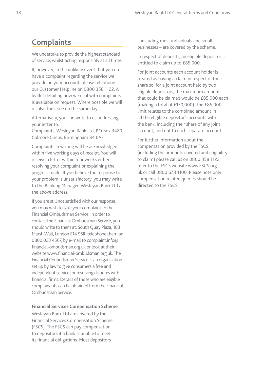### **Complaints**

We undertake to provide the highest standard of service, whilst acting responsibly at all times.

If, however, in the unlikely event that you do have a complaint regarding the service we provide on your account, please telephone our Customer Helpline on 0800 358 1122. A leaflet detailing how we deal with complaints is available on request. Where possible we will resolve the issue on the same day.

Alternatively, you can write to us addressing your letter to:

Complaints, Wesleyan Bank Ltd, PO Box 3420, Colmore Circus, Birmingham B4 6AE.

Complaints in writing will be acknowledged within five working days of receipt. You will receive a letter within four weeks either resolving your complaint or explaining the progress made. If you believe the response to your problem is unsatisfactory, you may write to the Banking Manager, Wesleyan Bank Ltd at the above address.

If you are still not satisfied with our response, you may wish to take your complaint to the Financial Ombudsman Service. In order to contact the Financial Ombudsman Service, you should write to them at: South Quay Plaza, 183 Marsh Wall, London E14 9SR, telephone them on 0800 023 4567, by e-mail to complaint.info@ financial-ombudsman.org.uk or look at their website www.financial-ombudsman.org.uk. The Financial Ombudsman Service is an organisation set up by law to give consumers a free and independent service for resolving disputes with financial firms. Details of those who are eligible complainants can be obtained from the Financial Ombudsman Service.

#### **Financial Services Compensation Scheme**

Wesleyan Bank Ltd are covered by the Financial Services Compensation Scheme (FSCS). The FSCS can pay compensation to depositors if a bank is unable to meet its financial obligations. Most depositors

– including most individuals and small businesses – are covered by the scheme.

In respect of deposits, an eligible depositor is entitled to claim up to £85,000.

For joint accounts each account holder is treated as having a claim in respect of their share so, for a joint account held by two eligible depositors, the maximum amount that could be claimed would be £85,000 each (making a total of £170,000). The £85,000 limit relates to the combined amount in all the eligible depositor's accounts with the bank, including their share of any joint account, and not to each separate account.

For further information about the compensation provided by the FSCS, (including the amounts covered and eligibility to claim) please call us on 0800 358 1122, refer to the FSCS website www.FSCS.org. uk or call 0800 678 1100. Please note only compensation related queries should be directed to the FSCS.